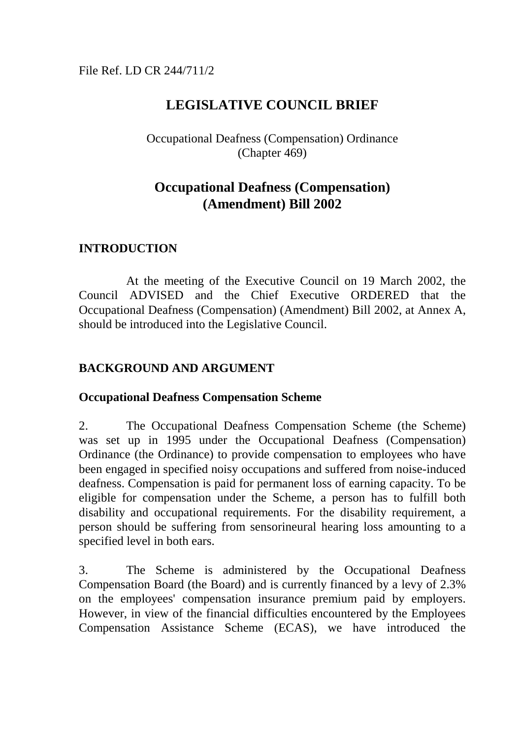# File Ref. LD CR 244/711/2

# **LEGISLATIVE COUNCIL BRIEF**

# Occupational Deafness (Compensation) Ordinance (Chapter 469)

# **Occupational Deafness (Compensation) (Amendment) Bill 2002**

# **INTRODUCTION**

At the meeting of the Executive Council on 19 March 2002, the Council ADVISED and the Chief Executive ORDERED that the Occupational Deafness (Compensation) (Amendment) Bill 2002, at Annex A, should be introduced into the Legislative Council.

# **BACKGROUND AND ARGUMENT**

### **Occupational Deafness Compensation Scheme**

2. The Occupational Deafness Compensation Scheme (the Scheme) was set up in 1995 under the Occupational Deafness (Compensation) Ordinance (the Ordinance) to provide compensation to employees who have been engaged in specified noisy occupations and suffered from noise-induced deafness. Compensation is paid for permanent loss of earning capacity. To be eligible for compensation under the Scheme, a person has to fulfill both disability and occupational requirements. For the disability requirement, a person should be suffering from sensorineural hearing loss amounting to a specified level in both ears.

3. The Scheme is administered by the Occupational Deafness Compensation Board (the Board) and is currently financed by a levy of 2.3% on the employees' compensation insurance premium paid by employers. However, in view of the financial difficulties encountered by the Employees Compensation Assistance Scheme (ECAS), we have introduced the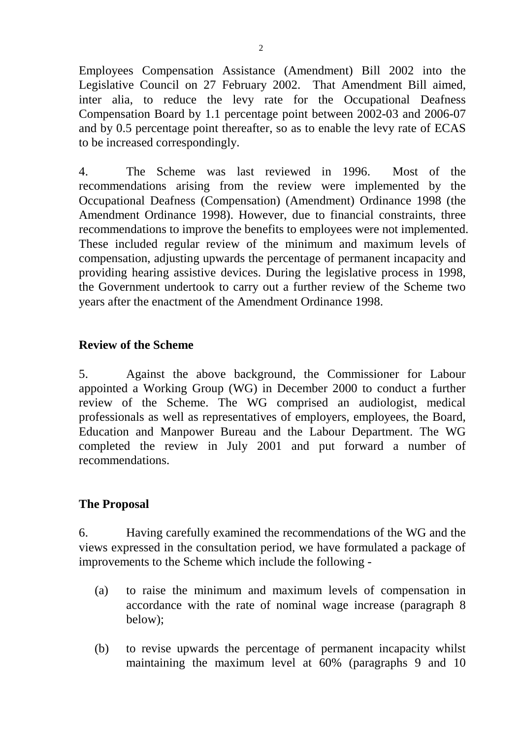Employees Compensation Assistance (Amendment) Bill 2002 into the Legislative Council on 27 February 2002. That Amendment Bill aimed, inter alia, to reduce the levy rate for the Occupational Deafness Compensation Board by 1.1 percentage point between 2002-03 and 2006-07 and by 0.5 percentage point thereafter, so as to enable the levy rate of ECAS to be increased correspondingly.

4. The Scheme was last reviewed in 1996. Most of the recommendations arising from the review were implemented by the Occupational Deafness (Compensation) (Amendment) Ordinance 1998 (the Amendment Ordinance 1998). However, due to financial constraints, three recommendations to improve the benefits to employees were not implemented. These included regular review of the minimum and maximum levels of compensation, adjusting upwards the percentage of permanent incapacity and providing hearing assistive devices. During the legislative process in 1998, the Government undertook to carry out a further review of the Scheme two years after the enactment of the Amendment Ordinance 1998.

### **Review of the Scheme**

5. Against the above background, the Commissioner for Labour appointed a Working Group (WG) in December 2000 to conduct a further review of the Scheme. The WG comprised an audiologist, medical professionals as well as representatives of employers, employees, the Board, Education and Manpower Bureau and the Labour Department. The WG completed the review in July 2001 and put forward a number of recommendations.

### **The Proposal**

6. Having carefully examined the recommendations of the WG and the views expressed in the consultation period, we have formulated a package of improvements to the Scheme which include the following -

- (a) to raise the minimum and maximum levels of compensation in accordance with the rate of nominal wage increase (paragraph 8 below);
- (b) to revise upwards the percentage of permanent incapacity whilst maintaining the maximum level at 60% (paragraphs 9 and 10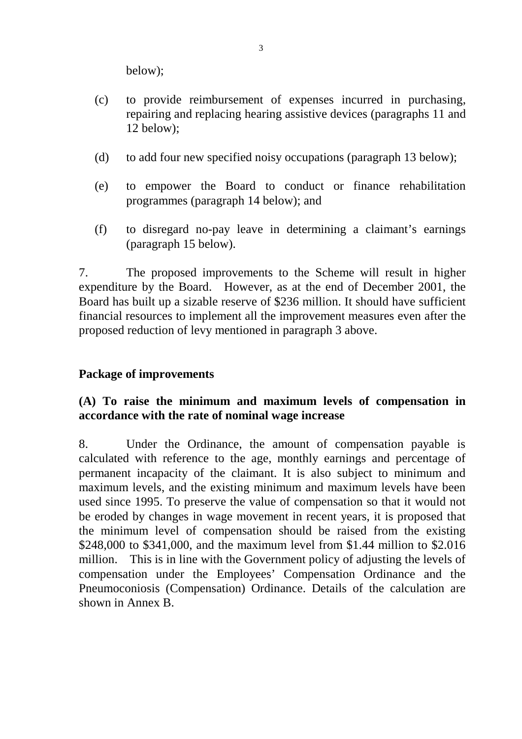below);

- (c) to provide reimbursement of expenses incurred in purchasing, repairing and replacing hearing assistive devices (paragraphs 11 and 12 below);
- (d) to add four new specified noisy occupations (paragraph 13 below);
- (e) to empower the Board to conduct or finance rehabilitation programmes (paragraph 14 below); and
- (f) to disregard no-pay leave in determining a claimant's earnings (paragraph 15 below).

7. The proposed improvements to the Scheme will result in higher expenditure by the Board. However, as at the end of December 2001, the Board has built up a sizable reserve of \$236 million. It should have sufficient financial resources to implement all the improvement measures even after the proposed reduction of levy mentioned in paragraph 3 above.

### **Package of improvements**

# **(A) To raise the minimum and maximum levels of compensation in accordance with the rate of nominal wage increase**

8. Under the Ordinance, the amount of compensation payable is calculated with reference to the age, monthly earnings and percentage of permanent incapacity of the claimant. It is also subject to minimum and maximum levels, and the existing minimum and maximum levels have been used since 1995. To preserve the value of compensation so that it would not be eroded by changes in wage movement in recent years, it is proposed that the minimum level of compensation should be raised from the existing \$248,000 to \$341,000, and the maximum level from \$1.44 million to \$2.016 million. This is in line with the Government policy of adjusting the levels of compensation under the Employees' Compensation Ordinance and the Pneumoconiosis (Compensation) Ordinance. Details of the calculation are shown in Annex B.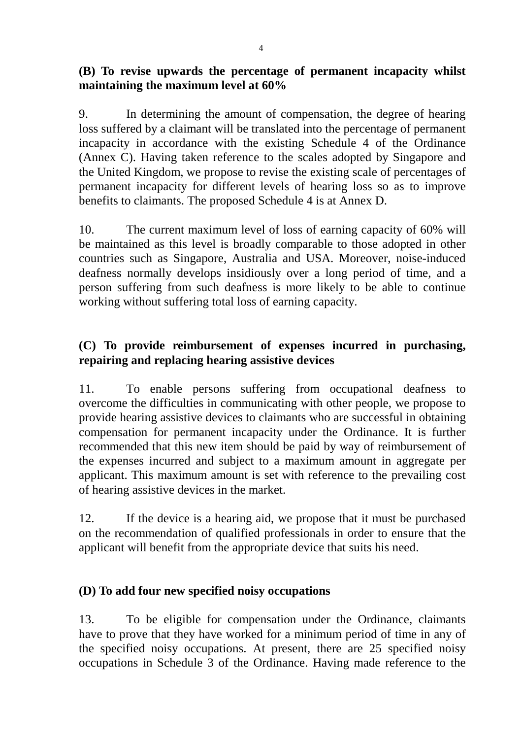9. In determining the amount of compensation, the degree of hearing loss suffered by a claimant will be translated into the percentage of permanent incapacity in accordance with the existing Schedule 4 of the Ordinance (Annex C). Having taken reference to the scales adopted by Singapore and the United Kingdom, we propose to revise the existing scale of percentages of permanent incapacity for different levels of hearing loss so as to improve benefits to claimants. The proposed Schedule 4 is at Annex D.

10. The current maximum level of loss of earning capacity of 60% will be maintained as this level is broadly comparable to those adopted in other countries such as Singapore, Australia and USA. Moreover, noise-induced deafness normally develops insidiously over a long period of time, and a person suffering from such deafness is more likely to be able to continue working without suffering total loss of earning capacity.

# **(C) To provide reimbursement of expenses incurred in purchasing, repairing and replacing hearing assistive devices**

11. To enable persons suffering from occupational deafness to overcome the difficulties in communicating with other people, we propose to provide hearing assistive devices to claimants who are successful in obtaining compensation for permanent incapacity under the Ordinance. It is further recommended that this new item should be paid by way of reimbursement of the expenses incurred and subject to a maximum amount in aggregate per applicant. This maximum amount is set with reference to the prevailing cost of hearing assistive devices in the market.

12. If the device is a hearing aid, we propose that it must be purchased on the recommendation of qualified professionals in order to ensure that the applicant will benefit from the appropriate device that suits his need.

# **(D) To add four new specified noisy occupations**

13. To be eligible for compensation under the Ordinance, claimants have to prove that they have worked for a minimum period of time in any of the specified noisy occupations. At present, there are 25 specified noisy occupations in Schedule 3 of the Ordinance. Having made reference to the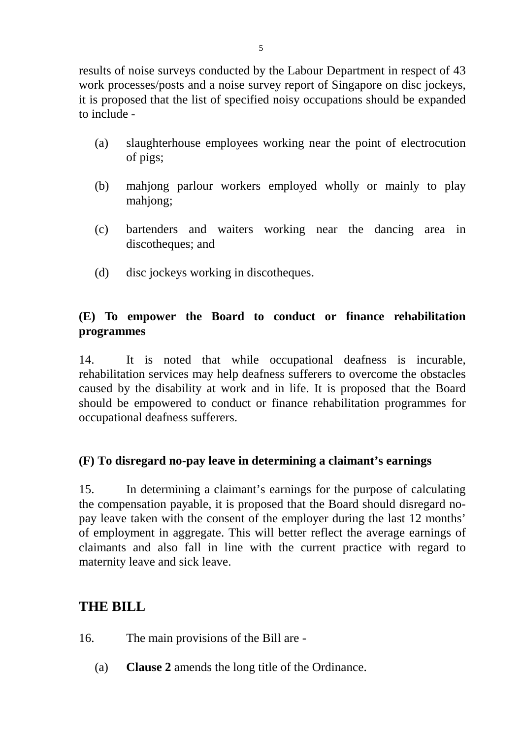results of noise surveys conducted by the Labour Department in respect of 43 work processes/posts and a noise survey report of Singapore on disc jockeys, it is proposed that the list of specified noisy occupations should be expanded to include -

- (a) slaughterhouse employees working near the point of electrocution of pigs;
- (b) mahjong parlour workers employed wholly or mainly to play mahjong;
- (c) bartenders and waiters working near the dancing area in discotheques; and
- (d) disc jockeys working in discotheques.

# **(E) To empower the Board to conduct or finance rehabilitation programmes**

14. It is noted that while occupational deafness is incurable, rehabilitation services may help deafness sufferers to overcome the obstacles caused by the disability at work and in life. It is proposed that the Board should be empowered to conduct or finance rehabilitation programmes for occupational deafness sufferers.

# **(F) To disregard no-pay leave in determining a claimant's earnings**

15. In determining a claimant's earnings for the purpose of calculating the compensation payable, it is proposed that the Board should disregard nopay leave taken with the consent of the employer during the last 12 months' of employment in aggregate. This will better reflect the average earnings of claimants and also fall in line with the current practice with regard to maternity leave and sick leave.

# **THE BILL**

- 16. The main provisions of the Bill are
	- (a) **Clause 2** amends the long title of the Ordinance.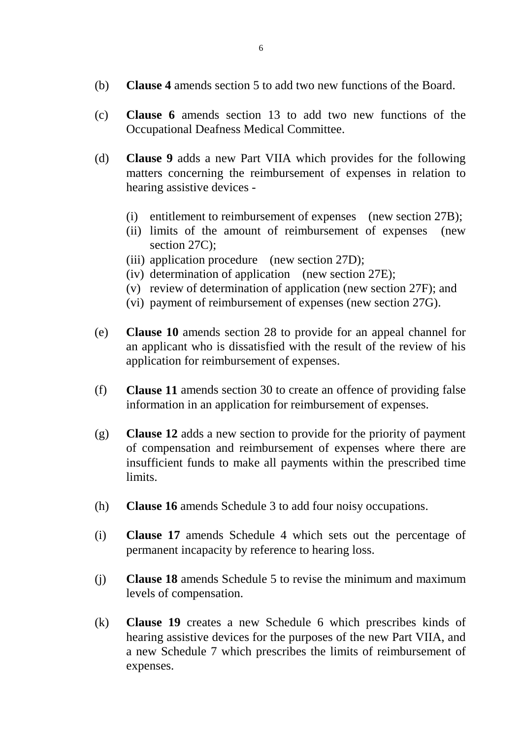- (b) **Clause 4** amends section 5 to add two new functions of the Board.
- (c) **Clause 6** amends section 13 to add two new functions of the Occupational Deafness Medical Committee.
- (d) **Clause 9** adds a new Part VIIA which provides for the following matters concerning the reimbursement of expenses in relation to hearing assistive devices -
	- (i) entitlement to reimbursement of expenses (new section 27B);
	- (ii) limits of the amount of reimbursement of expenses (new section 27C):
	- (iii) application procedure (new section 27D);
	- (iv) determination of application (new section 27E);
	- (v) review of determination of application (new section 27F); and
	- (vi) payment of reimbursement of expenses (new section 27G).
- (e) **Clause 10** amends section 28 to provide for an appeal channel for an applicant who is dissatisfied with the result of the review of his application for reimbursement of expenses.
- (f) **Clause 11** amends section 30 to create an offence of providing false information in an application for reimbursement of expenses.
- (g) **Clause 12** adds a new section to provide for the priority of payment of compensation and reimbursement of expenses where there are insufficient funds to make all payments within the prescribed time limits.
- (h) **Clause 16** amends Schedule 3 to add four noisy occupations.
- (i) **Clause 17** amends Schedule 4 which sets out the percentage of permanent incapacity by reference to hearing loss.
- (j) **Clause 18** amends Schedule 5 to revise the minimum and maximum levels of compensation.
- (k) **Clause 19** creates a new Schedule 6 which prescribes kinds of hearing assistive devices for the purposes of the new Part VIIA, and a new Schedule 7 which prescribes the limits of reimbursement of expenses.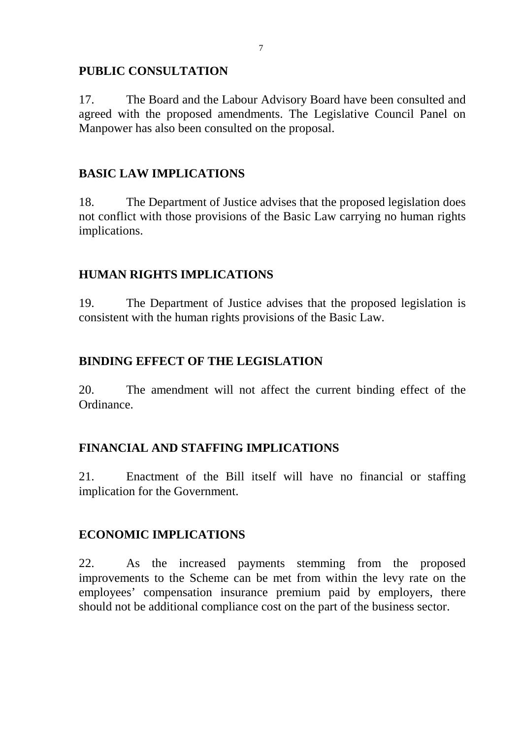### **PUBLIC CONSULTATION**

17. The Board and the Labour Advisory Board have been consulted and agreed with the proposed amendments. The Legislative Council Panel on Manpower has also been consulted on the proposal.

# **BASIC LAW IMPLICATIONS**

18. The Department of Justice advises that the proposed legislation does not conflict with those provisions of the Basic Law carrying no human rights implications.

# **HUMAN RIGHTS IMPLICATIONS**

19. The Department of Justice advises that the proposed legislation is consistent with the human rights provisions of the Basic Law.

# **BINDING EFFECT OF THE LEGISLATION**

20. The amendment will not affect the current binding effect of the Ordinance.

# **FINANCIAL AND STAFFING IMPLICATIONS**

21. Enactment of the Bill itself will have no financial or staffing implication for the Government.

# **ECONOMIC IMPLICATIONS**

22. As the increased payments stemming from the proposed improvements to the Scheme can be met from within the levy rate on the employees' compensation insurance premium paid by employers, there should not be additional compliance cost on the part of the business sector.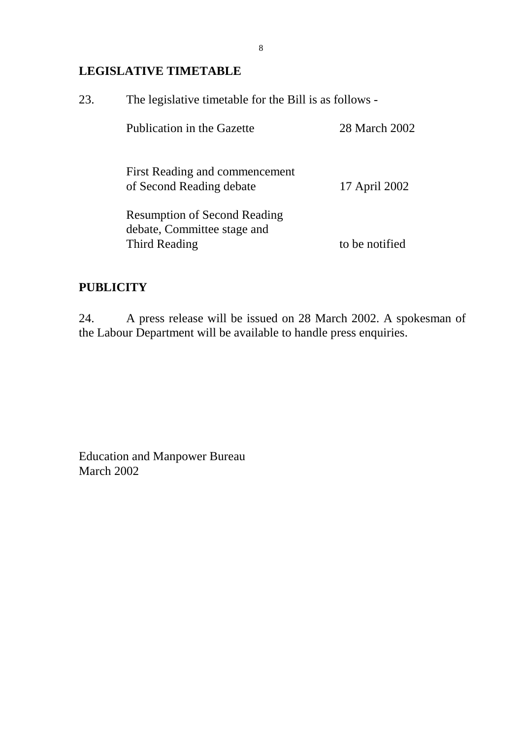# **LEGISLATIVE TIMETABLE**

| 23. | The legislative timetable for the Bill is as follows -     |                |  |  |  |  |  |  |  |
|-----|------------------------------------------------------------|----------------|--|--|--|--|--|--|--|
|     | Publication in the Gazette                                 | 28 March 2002  |  |  |  |  |  |  |  |
|     | First Reading and commencement<br>of Second Reading debate | 17 April 2002  |  |  |  |  |  |  |  |
|     | <b>Resumption of Second Reading</b>                        |                |  |  |  |  |  |  |  |
|     | debate, Committee stage and                                |                |  |  |  |  |  |  |  |
|     | Third Reading                                              | to be notified |  |  |  |  |  |  |  |

# **PUBLICITY**

24. A press release will be issued on 28 March 2002. A spokesman of the Labour Department will be available to handle press enquiries.

Education and Manpower Bureau March 2002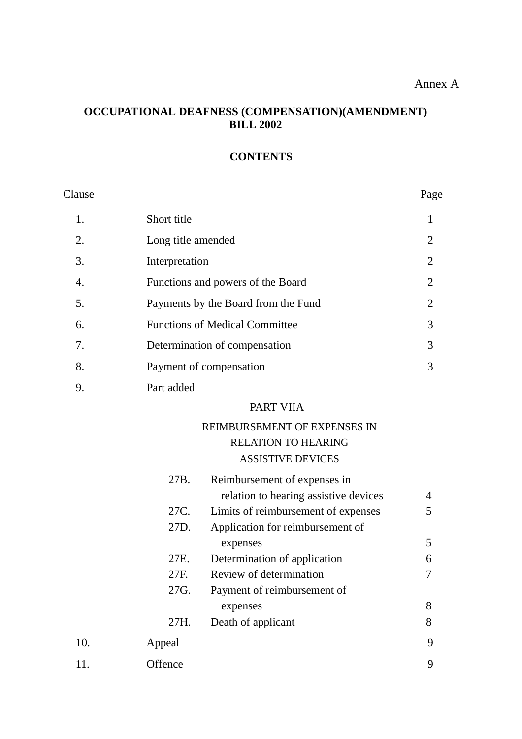### **OCCUPATIONAL DEAFNESS (COMPENSATION)(AMENDMENT) BILL 2002**

### **CONTENTS**

| Clause |                                       | Page           |
|--------|---------------------------------------|----------------|
| 1.     | Short title                           | 1              |
| 2.     | Long title amended                    | $\overline{2}$ |
| 3.     | Interpretation                        | $\overline{2}$ |
| 4.     | Functions and powers of the Board     | 2              |
| 5.     | Payments by the Board from the Fund   | $\overline{2}$ |
| 6.     | <b>Functions of Medical Committee</b> | 3              |
| 7.     | Determination of compensation         | 3              |
| 8.     | Payment of compensation               | 3              |
|        |                                       |                |

9. Part added

#### PART VIIA

### REIMBURSEMENT OF EXPENSES IN RELATION TO HEARING ASSISTIVE DEVICES

|     |         | ASSISTIVE DEVICES                     |   |
|-----|---------|---------------------------------------|---|
|     | 27B.    | Reimbursement of expenses in          |   |
|     |         | relation to hearing assistive devices | 4 |
|     | 27C.    | Limits of reimbursement of expenses   | 5 |
|     | 27D.    | Application for reimbursement of      |   |
|     |         | expenses                              | 5 |
|     | 27E.    | Determination of application          | 6 |
|     | 27F.    | Review of determination               | 7 |
|     | 27G.    | Payment of reimbursement of           |   |
|     |         | expenses                              | 8 |
|     | 27H.    | Death of applicant                    | 8 |
| 10. | Appeal  |                                       | 9 |
| 11. | Offence |                                       | 9 |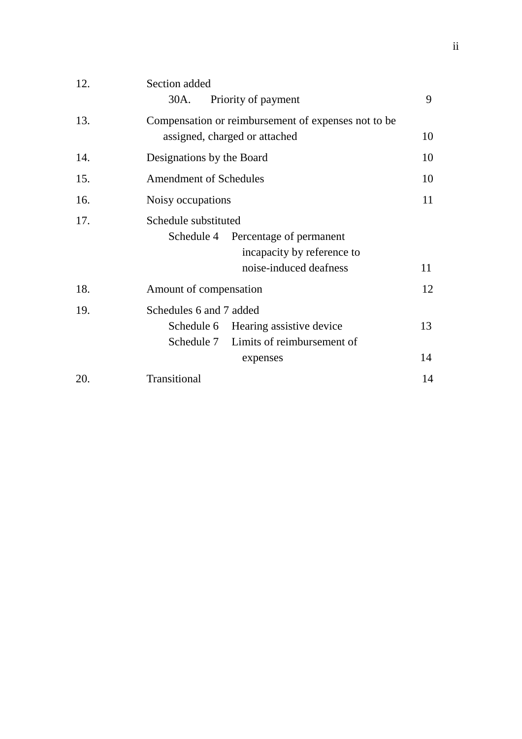| Section added                                       |    |  |  |  |
|-----------------------------------------------------|----|--|--|--|
| Priority of payment<br>30A.                         | 9  |  |  |  |
| Compensation or reimbursement of expenses not to be |    |  |  |  |
| assigned, charged or attached                       | 10 |  |  |  |
| Designations by the Board                           | 10 |  |  |  |
| <b>Amendment of Schedules</b>                       | 10 |  |  |  |
| Noisy occupations                                   |    |  |  |  |
| Schedule substituted                                |    |  |  |  |
| Schedule 4<br>Percentage of permanent               |    |  |  |  |
| incapacity by reference to                          |    |  |  |  |
| noise-induced deafness                              | 11 |  |  |  |
| Amount of compensation                              | 12 |  |  |  |
| Schedules 6 and 7 added                             |    |  |  |  |
| Schedule 6 Hearing assistive device                 | 13 |  |  |  |
| Schedule 7 Limits of reimbursement of               |    |  |  |  |
| expenses                                            | 14 |  |  |  |
| Transitional                                        | 14 |  |  |  |
|                                                     |    |  |  |  |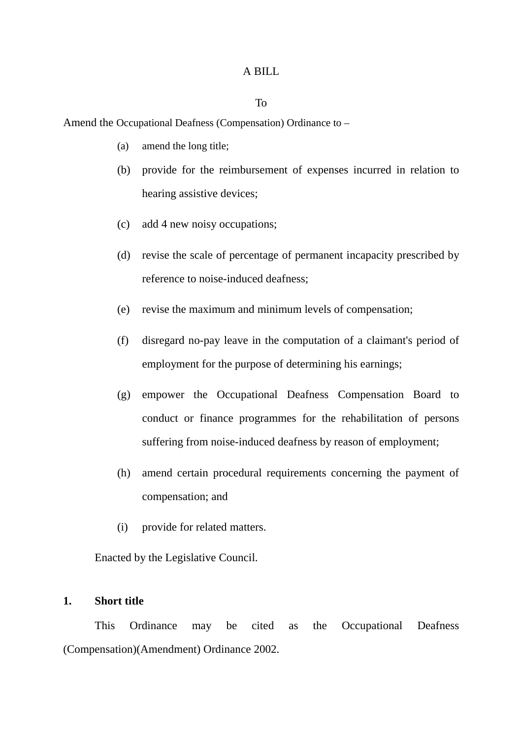#### A BILL

#### To

Amend the Occupational Deafness (Compensation) Ordinance to –

- (a) amend the long title;
- (b) provide for the reimbursement of expenses incurred in relation to hearing assistive devices;
- (c) add 4 new noisy occupations;
- (d) revise the scale of percentage of permanent incapacity prescribed by reference to noise-induced deafness;
- (e) revise the maximum and minimum levels of compensation;
- (f) disregard no-pay leave in the computation of a claimant's period of employment for the purpose of determining his earnings;
- (g) empower the Occupational Deafness Compensation Board to conduct or finance programmes for the rehabilitation of persons suffering from noise-induced deafness by reason of employment;
- (h) amend certain procedural requirements concerning the payment of compensation; and
- (i) provide for related matters.

Enacted by the Legislative Council.

#### **1. Short title**

This Ordinance may be cited as the Occupational Deafness (Compensation)(Amendment) Ordinance 2002.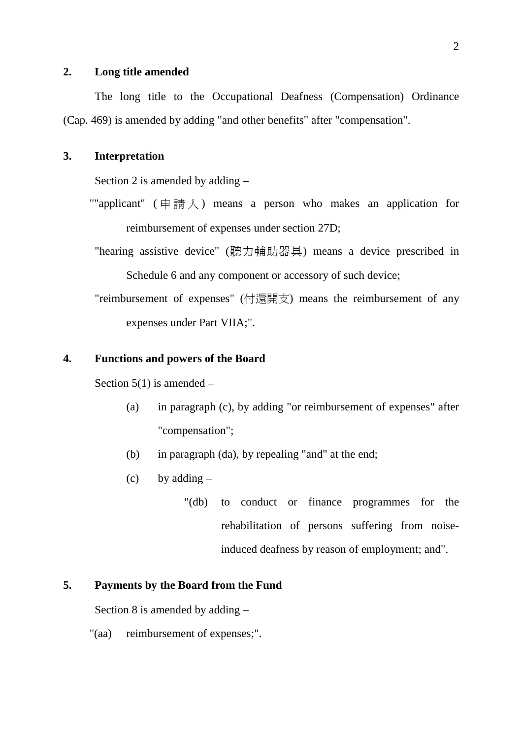#### **2. Long title amended**

The long title to the Occupational Deafness (Compensation) Ordinance (Cap. 469) is amended by adding "and other benefits" after "compensation".

#### **3. Interpretation**

Section 2 is amended by adding –

""applicant" ( $\# \ddot{\mathbb{B}} \downarrow$ ) means a person who makes an application for reimbursement of expenses under section 27D;

"hearing assistive device" (聽力輔助器具) means a device prescribed in

Schedule 6 and any component or accessory of such device;

"reimbursement of expenses" (付還開支) means the reimbursement of any expenses under Part VIIA;".

#### **4. Functions and powers of the Board**

Section  $5(1)$  is amended –

- (a) in paragraph (c), by adding "or reimbursement of expenses" after "compensation";
- (b) in paragraph (da), by repealing "and" at the end;
- $(c)$  by adding  $-$ 
	- "(db) to conduct or finance programmes for the rehabilitation of persons suffering from noiseinduced deafness by reason of employment; and".

#### **5. Payments by the Board from the Fund**

Section 8 is amended by adding –

"(aa) reimbursement of expenses;".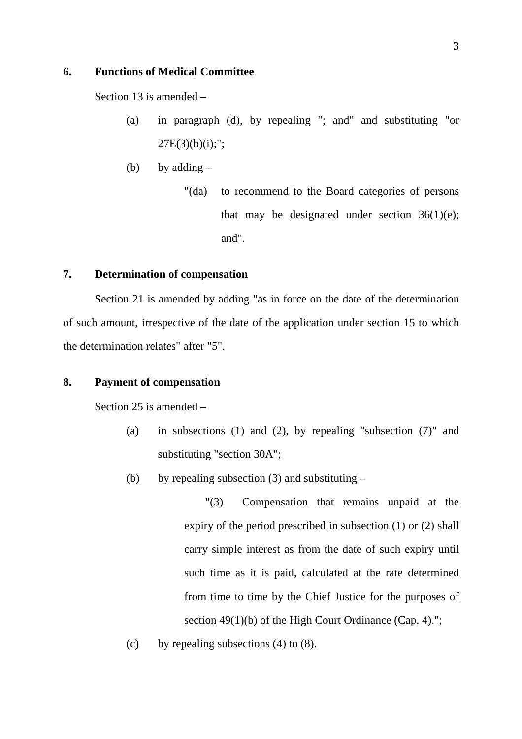#### **6. Functions of Medical Committee**

Section 13 is amended –

- (a) in paragraph (d), by repealing "; and" and substituting "or  $27E(3)(b)(i);";$
- (b) by adding  $-$ 
	- "(da) to recommend to the Board categories of persons that may be designated under section  $36(1)(e)$ ; and".

#### **7. Determination of compensation**

Section 21 is amended by adding "as in force on the date of the determination of such amount, irrespective of the date of the application under section 15 to which the determination relates" after "5".

#### **8. Payment of compensation**

Section 25 is amended –

- (a) in subsections (1) and (2), by repealing "subsection (7)" and substituting "section 30A";
- (b) by repealing subsection (3) and substituting  $-$

"(3) Compensation that remains unpaid at the expiry of the period prescribed in subsection (1) or (2) shall carry simple interest as from the date of such expiry until such time as it is paid, calculated at the rate determined from time to time by the Chief Justice for the purposes of section 49(1)(b) of the High Court Ordinance (Cap. 4).":

(c) by repealing subsections (4) to (8).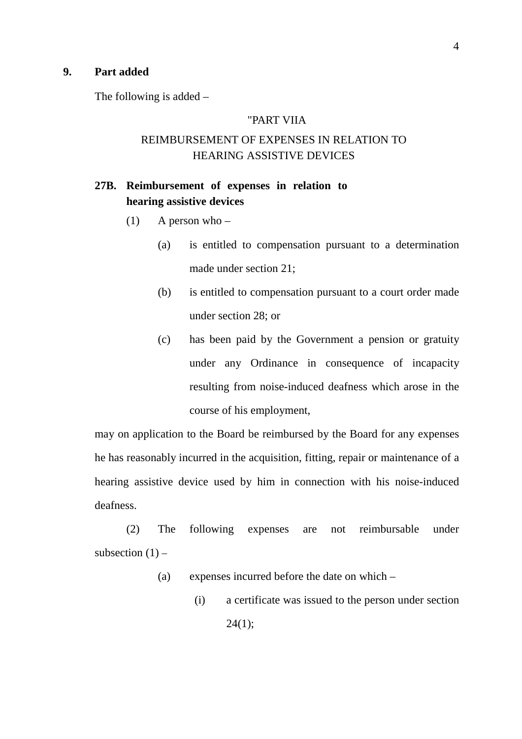#### **9. Part added**

The following is added –

#### "PART VIIA

### REIMBURSEMENT OF EXPENSES IN RELATION TO HEARING ASSISTIVE DEVICES

### **27B. Reimbursement of expenses in relation to hearing assistive devices**

- (1) A person who  $-$ 
	- (a) is entitled to compensation pursuant to a determination made under section 21;
	- (b) is entitled to compensation pursuant to a court order made under section 28; or
	- (c) has been paid by the Government a pension or gratuity under any Ordinance in consequence of incapacity resulting from noise-induced deafness which arose in the course of his employment,

may on application to the Board be reimbursed by the Board for any expenses he has reasonably incurred in the acquisition, fitting, repair or maintenance of a hearing assistive device used by him in connection with his noise-induced deafness.

(2) The following expenses are not reimbursable under subsection  $(1)$  –

- (a) expenses incurred before the date on which
	- (i) a certificate was issued to the person under section  $24(1);$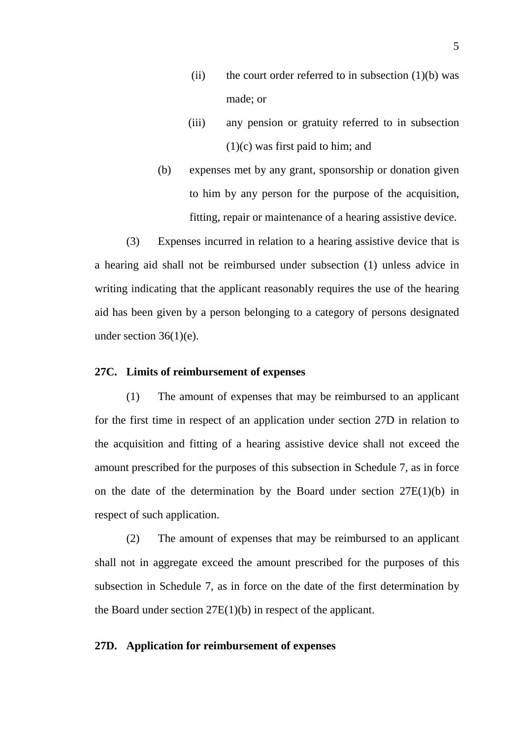- (ii) the court order referred to in subsection  $(1)(b)$  was made; or
- (iii) any pension or gratuity referred to in subsection (1)(c) was first paid to him; and
- (b) expenses met by any grant, sponsorship or donation given to him by any person for the purpose of the acquisition, fitting, repair or maintenance of a hearing assistive device.

(3) Expenses incurred in relation to a hearing assistive device that is a hearing aid shall not be reimbursed under subsection (1) unless advice in writing indicating that the applicant reasonably requires the use of the hearing aid has been given by a person belonging to a category of persons designated under section 36(1)(e).

#### **27C. Limits of reimbursement of expenses**

(1) The amount of expenses that may be reimbursed to an applicant for the first time in respect of an application under section 27D in relation to the acquisition and fitting of a hearing assistive device shall not exceed the amount prescribed for the purposes of this subsection in Schedule 7, as in force on the date of the determination by the Board under section  $27E(1)(b)$  in respect of such application.

(2) The amount of expenses that may be reimbursed to an applicant shall not in aggregate exceed the amount prescribed for the purposes of this subsection in Schedule 7, as in force on the date of the first determination by the Board under section 27E(1)(b) in respect of the applicant.

#### **27D. Application for reimbursement of expenses**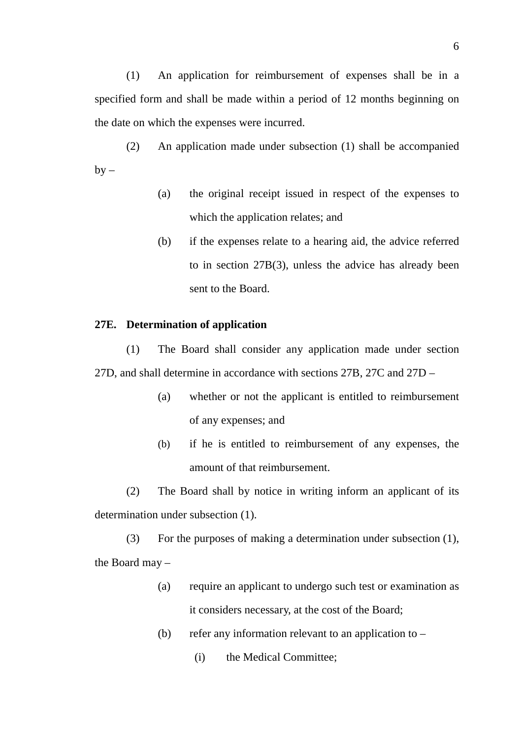(1) An application for reimbursement of expenses shall be in a specified form and shall be made within a period of 12 months beginning on the date on which the expenses were incurred.

(2) An application made under subsection (1) shall be accompanied  $by -$ 

- (a) the original receipt issued in respect of the expenses to which the application relates; and
- (b) if the expenses relate to a hearing aid, the advice referred to in section 27B(3), unless the advice has already been sent to the Board.

#### **27E. Determination of application**

(1) The Board shall consider any application made under section 27D, and shall determine in accordance with sections 27B, 27C and 27D –

- (a) whether or not the applicant is entitled to reimbursement of any expenses; and
- (b) if he is entitled to reimbursement of any expenses, the amount of that reimbursement.

(2) The Board shall by notice in writing inform an applicant of its determination under subsection (1).

(3) For the purposes of making a determination under subsection (1), the Board may –

- (a) require an applicant to undergo such test or examination as it considers necessary, at the cost of the Board;
- (b) refer any information relevant to an application to  $-$ 
	- (i) the Medical Committee;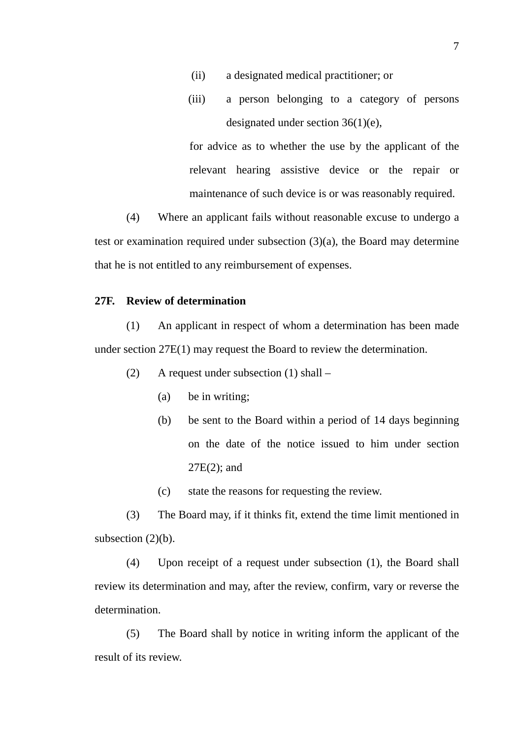- (ii) a designated medical practitioner; or
- (iii) a person belonging to a category of persons designated under section 36(1)(e),

for advice as to whether the use by the applicant of the relevant hearing assistive device or the repair or maintenance of such device is or was reasonably required.

(4) Where an applicant fails without reasonable excuse to undergo a test or examination required under subsection (3)(a), the Board may determine that he is not entitled to any reimbursement of expenses.

#### **27F. Review of determination**

(1) An applicant in respect of whom a determination has been made under section 27E(1) may request the Board to review the determination.

- (2) A request under subsection (1) shall
	- (a) be in writing;
	- (b) be sent to the Board within a period of 14 days beginning on the date of the notice issued to him under section 27E(2); and
	- (c) state the reasons for requesting the review.

(3) The Board may, if it thinks fit, extend the time limit mentioned in subsection  $(2)(b)$ .

(4) Upon receipt of a request under subsection (1), the Board shall review its determination and may, after the review, confirm, vary or reverse the determination.

(5) The Board shall by notice in writing inform the applicant of the result of its review.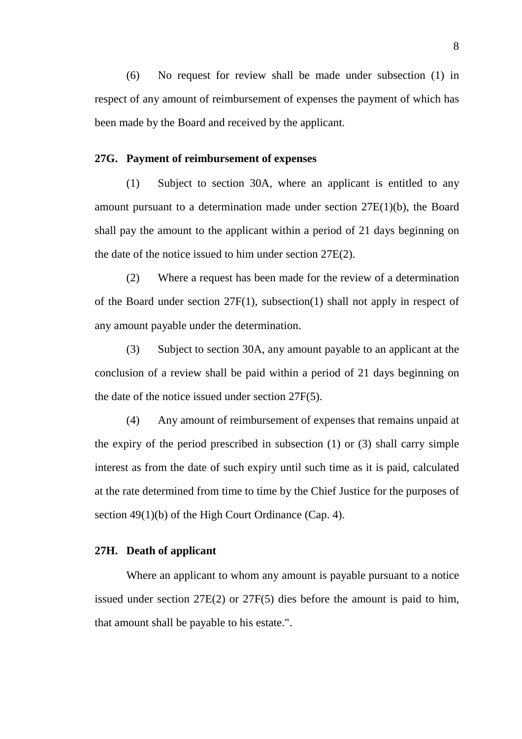(6) No request for review shall be made under subsection (1) in respect of any amount of reimbursement of expenses the payment of which has been made by the Board and received by the applicant.

#### **27G. Payment of reimbursement of expenses**

(1) Subject to section 30A, where an applicant is entitled to any amount pursuant to a determination made under section 27E(1)(b), the Board shall pay the amount to the applicant within a period of 21 days beginning on the date of the notice issued to him under section 27E(2).

(2) Where a request has been made for the review of a determination of the Board under section 27F(1), subsection(1) shall not apply in respect of any amount payable under the determination.

(3) Subject to section 30A, any amount payable to an applicant at the conclusion of a review shall be paid within a period of 21 days beginning on the date of the notice issued under section 27F(5).

(4) Any amount of reimbursement of expenses that remains unpaid at the expiry of the period prescribed in subsection (1) or (3) shall carry simple interest as from the date of such expiry until such time as it is paid, calculated at the rate determined from time to time by the Chief Justice for the purposes of section 49(1)(b) of the High Court Ordinance (Cap. 4).

#### **27H. Death of applicant**

Where an applicant to whom any amount is payable pursuant to a notice issued under section 27E(2) or 27F(5) dies before the amount is paid to him, that amount shall be payable to his estate.".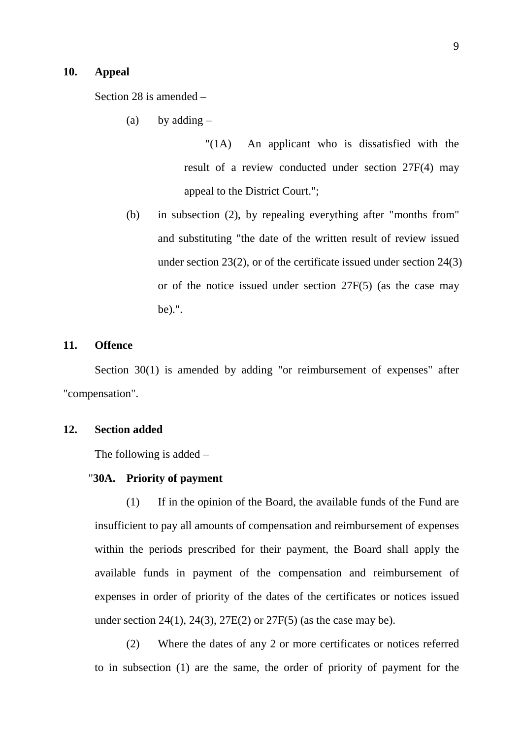#### **10. Appeal**

Section 28 is amended –

(a) by adding  $-$ 

"(1A) An applicant who is dissatisfied with the result of a review conducted under section 27F(4) may appeal to the District Court.";

(b) in subsection (2), by repealing everything after "months from" and substituting "the date of the written result of review issued under section 23(2), or of the certificate issued under section 24(3) or of the notice issued under section 27F(5) (as the case may be).".

#### **11. Offence**

Section 30(1) is amended by adding "or reimbursement of expenses" after "compensation".

### **12. Section added**

The following is added –

#### "**30A. Priority of payment**

(1) If in the opinion of the Board, the available funds of the Fund are insufficient to pay all amounts of compensation and reimbursement of expenses within the periods prescribed for their payment, the Board shall apply the available funds in payment of the compensation and reimbursement of expenses in order of priority of the dates of the certificates or notices issued under section 24(1), 24(3), 27E(2) or 27F(5) (as the case may be).

(2) Where the dates of any 2 or more certificates or notices referred to in subsection (1) are the same, the order of priority of payment for the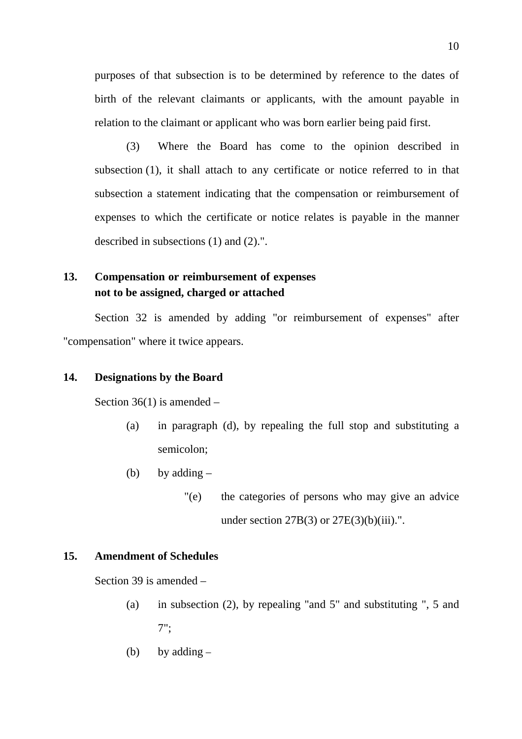purposes of that subsection is to be determined by reference to the dates of birth of the relevant claimants or applicants, with the amount payable in relation to the claimant or applicant who was born earlier being paid first.

(3) Where the Board has come to the opinion described in subsection (1), it shall attach to any certificate or notice referred to in that subsection a statement indicating that the compensation or reimbursement of expenses to which the certificate or notice relates is payable in the manner described in subsections (1) and (2).".

# **13. Compensation or reimbursement of expenses not to be assigned, charged or attached**

Section 32 is amended by adding "or reimbursement of expenses" after "compensation" where it twice appears.

#### **14. Designations by the Board**

Section 36(1) is amended –

- (a) in paragraph (d), by repealing the full stop and substituting a semicolon;
- (b) by adding  $-$ 
	- "(e) the categories of persons who may give an advice under section  $27B(3)$  or  $27E(3)(b)(iii)$ .".

#### **15. Amendment of Schedules**

Section 39 is amended –

- (a) in subsection (2), by repealing "and 5" and substituting ", 5 and 7";
- (b) by adding  $-$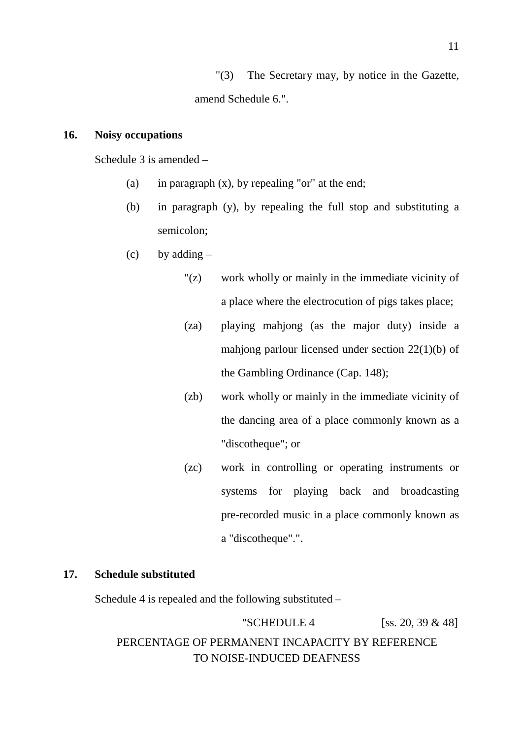"(3) The Secretary may, by notice in the Gazette, amend Schedule 6.".

#### **16. Noisy occupations**

Schedule 3 is amended –

- (a) in paragraph  $(x)$ , by repealing "or" at the end;
- (b) in paragraph (y), by repealing the full stop and substituting a semicolon;
- (c) by adding  $-$ 
	- "(z) work wholly or mainly in the immediate vicinity of a place where the electrocution of pigs takes place;
	- (za) playing mahjong (as the major duty) inside a mahjong parlour licensed under section 22(1)(b) of the Gambling Ordinance (Cap. 148);
	- (zb) work wholly or mainly in the immediate vicinity of the dancing area of a place commonly known as a "discotheque"; or
	- (zc) work in controlling or operating instruments or systems for playing back and broadcasting pre-recorded music in a place commonly known as a "discotheque".".

#### **17. Schedule substituted**

Schedule 4 is repealed and the following substituted –

"SCHEDULE 4  $[ss. 20, 39 \& 48]$ 

# PERCENTAGE OF PERMANENT INCAPACITY BY REFERENCE TO NOISE-INDUCED DEAFNESS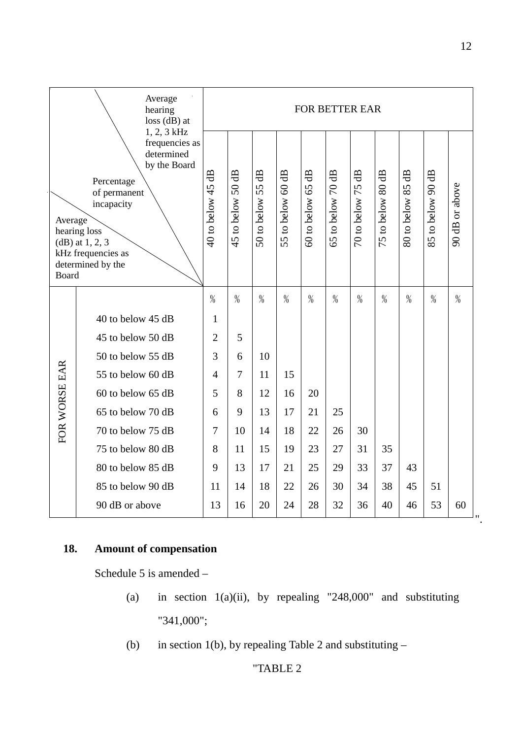| Average<br>hearing<br>$loss$ (dB) at                                                                                                                                                                               |                   |                                      | <b>FOR BETTER EAR</b>  |                                     |                                      |                                     |                                     |                        |                   |                                  |                   |                |  |
|--------------------------------------------------------------------------------------------------------------------------------------------------------------------------------------------------------------------|-------------------|--------------------------------------|------------------------|-------------------------------------|--------------------------------------|-------------------------------------|-------------------------------------|------------------------|-------------------|----------------------------------|-------------------|----------------|--|
| 1, 2, 3 kHz<br>frequencies as<br>determined<br>by the Board<br>Percentage<br>of permanent<br>incapacity<br>Average<br>hearing loss<br>$(dB)$ at 1, 2, 3<br>kHz frequencies as<br>determined by the<br><b>Board</b> |                   | $\overline{a}$<br>$40$ to below $45$ | $50$ dB<br>45 to below | $\overline{a}$<br>55<br>50 to below | 4B<br>$\overline{60}$<br>55 to below | d <sub>B</sub><br>65<br>50 to below | dB<br>$\overline{C}$<br>65 to below | €<br>75<br>70 to below | 75 to below 80 dB | $\overline{a}$<br>80 to below 85 | 85 to below 90 dB | 90 dB or above |  |
|                                                                                                                                                                                                                    |                   | $\%$                                 | $\%$                   | $\%$                                | $\%$                                 | $\%$                                | $\frac{0}{0}$                       | $\frac{0}{0}$          | $\%$              | $\%$                             | $\%$              | $\%$           |  |
|                                                                                                                                                                                                                    | 40 to below 45 dB | $\mathbf{1}$                         |                        |                                     |                                      |                                     |                                     |                        |                   |                                  |                   |                |  |
|                                                                                                                                                                                                                    | 45 to below 50 dB | $\overline{2}$                       | 5                      |                                     |                                      |                                     |                                     |                        |                   |                                  |                   |                |  |
|                                                                                                                                                                                                                    | 50 to below 55 dB | 3                                    | 6                      | 10                                  |                                      |                                     |                                     |                        |                   |                                  |                   |                |  |
|                                                                                                                                                                                                                    | 55 to below 60 dB | $\overline{4}$                       | $\overline{7}$         | 11                                  | 15                                   |                                     |                                     |                        |                   |                                  |                   |                |  |
|                                                                                                                                                                                                                    | 60 to below 65 dB | 5                                    | 8                      | 12                                  | 16                                   | 20                                  |                                     |                        |                   |                                  |                   |                |  |
| FOR WORSE EAR                                                                                                                                                                                                      | 65 to below 70 dB | 6                                    | 9                      | 13                                  | 17                                   | 21                                  | 25                                  |                        |                   |                                  |                   |                |  |
|                                                                                                                                                                                                                    | 70 to below 75 dB | $\overline{7}$                       | 10                     | 14                                  | 18                                   | 22                                  | 26                                  | 30                     |                   |                                  |                   |                |  |
|                                                                                                                                                                                                                    | 75 to below 80 dB | 8                                    | 11                     | 15                                  | 19                                   | 23                                  | 27                                  | 31                     | 35                |                                  |                   |                |  |
|                                                                                                                                                                                                                    | 80 to below 85 dB | 9                                    | 13                     | 17                                  | 21                                   | 25                                  | 29                                  | 33                     | 37                | 43                               |                   |                |  |
|                                                                                                                                                                                                                    | 85 to below 90 dB | 11                                   | 14                     | 18                                  | 22                                   | 26                                  | 30                                  | 34                     | 38                | 45                               | 51                |                |  |
|                                                                                                                                                                                                                    | 90 dB or above    | 13                                   | 16                     | 20                                  | 24                                   | 28                                  | 32                                  | 36                     | 40                | 46                               | 53                | 60             |  |

# **18. Amount of compensation**

Schedule 5 is amended –

- (a) in section  $1(a)(ii)$ , by repealing "248,000" and substituting "341,000";
- (b) in section 1(b), by repealing Table 2 and substituting  $-$

# "TABLE 2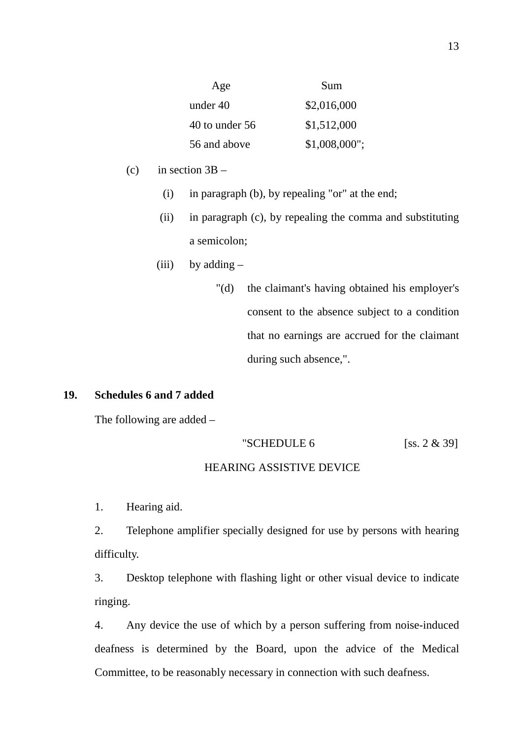| Age                | Sum             |
|--------------------|-----------------|
| under 40           | \$2,016,000     |
| $40$ to under $56$ | \$1,512,000     |
| 56 and above       | $$1,008,000$ "; |

- (c) in section  $3B -$ 
	- (i) in paragraph (b), by repealing "or" at the end;
	- (ii) in paragraph (c), by repealing the comma and substituting a semicolon;
	- (iii) by adding  $-$ 
		- "(d) the claimant's having obtained his employer's consent to the absence subject to a condition that no earnings are accrued for the claimant during such absence,".

#### **19. Schedules 6 and 7 added**

The following are added –

#### "SCHEDULE  $6$  [ss. 2  $\&$  39]

#### HEARING ASSISTIVE DEVICE

1. Hearing aid.

2. Telephone amplifier specially designed for use by persons with hearing difficulty.

3. Desktop telephone with flashing light or other visual device to indicate ringing.

4. Any device the use of which by a person suffering from noise-induced deafness is determined by the Board, upon the advice of the Medical Committee, to be reasonably necessary in connection with such deafness.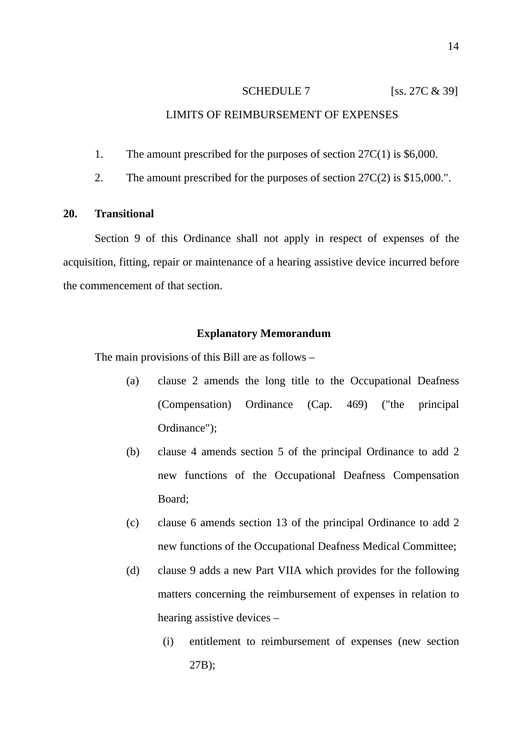#### LIMITS OF REIMBURSEMENT OF EXPENSES

- 1. The amount prescribed for the purposes of section 27C(1) is \$6,000.
- 2. The amount prescribed for the purposes of section 27C(2) is \$15,000.".

#### **20. Transitional**

Section 9 of this Ordinance shall not apply in respect of expenses of the acquisition, fitting, repair or maintenance of a hearing assistive device incurred before the commencement of that section.

#### **Explanatory Memorandum**

The main provisions of this Bill are as follows –

- (a) clause 2 amends the long title to the Occupational Deafness (Compensation) Ordinance (Cap. 469) ("the principal Ordinance");
- (b) clause 4 amends section 5 of the principal Ordinance to add 2 new functions of the Occupational Deafness Compensation Board;
- (c) clause 6 amends section 13 of the principal Ordinance to add 2 new functions of the Occupational Deafness Medical Committee;
- (d) clause 9 adds a new Part VIIA which provides for the following matters concerning the reimbursement of expenses in relation to hearing assistive devices –
	- (i) entitlement to reimbursement of expenses (new section 27B);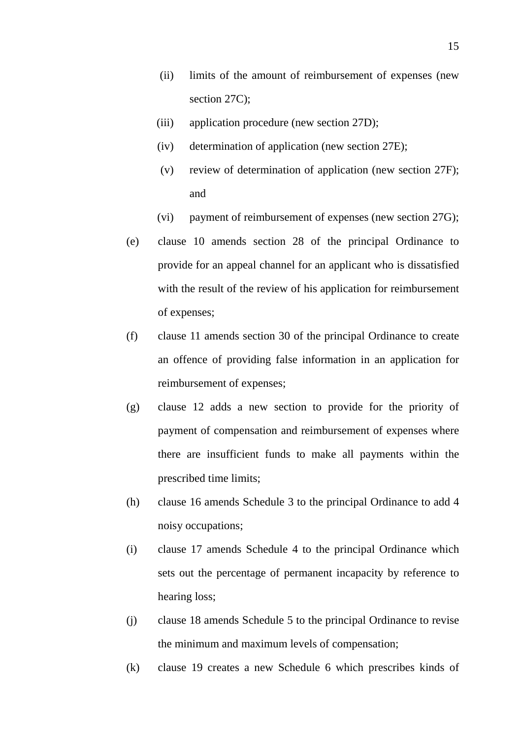- (ii) limits of the amount of reimbursement of expenses (new section 27C);
- (iii) application procedure (new section 27D);
- (iv) determination of application (new section 27E);
- (v) review of determination of application (new section 27F); and
- (vi) payment of reimbursement of expenses (new section 27G);
- (e) clause 10 amends section 28 of the principal Ordinance to provide for an appeal channel for an applicant who is dissatisfied with the result of the review of his application for reimbursement of expenses;
- (f) clause 11 amends section 30 of the principal Ordinance to create an offence of providing false information in an application for reimbursement of expenses;
- (g) clause 12 adds a new section to provide for the priority of payment of compensation and reimbursement of expenses where there are insufficient funds to make all payments within the prescribed time limits;
- (h) clause 16 amends Schedule 3 to the principal Ordinance to add 4 noisy occupations;
- (i) clause 17 amends Schedule 4 to the principal Ordinance which sets out the percentage of permanent incapacity by reference to hearing loss;
- (j) clause 18 amends Schedule 5 to the principal Ordinance to revise the minimum and maximum levels of compensation;
- (k) clause 19 creates a new Schedule 6 which prescribes kinds of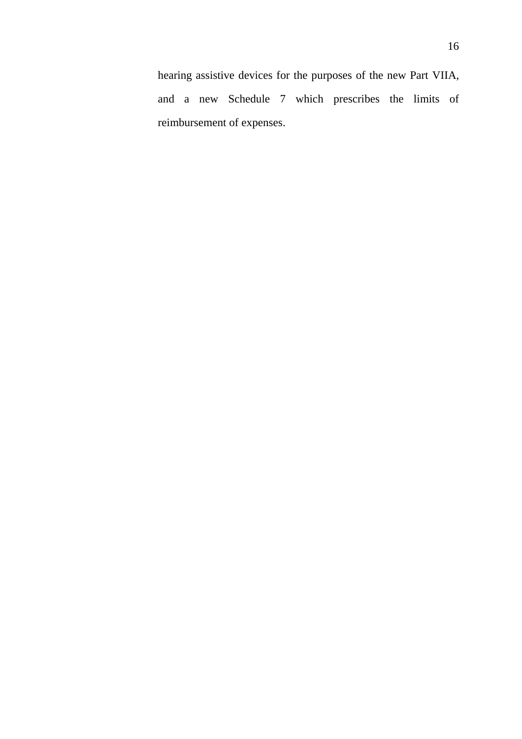hearing assistive devices for the purposes of the new Part VIIA, and a new Schedule 7 which prescribes the limits of reimbursement of expenses.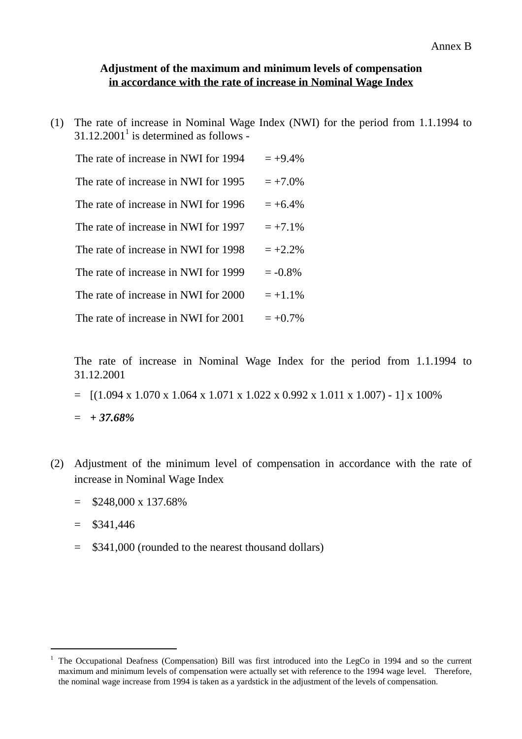#### **Adjustment of the maximum and minimum levels of compensation in accordance with the rate of increase in Nominal Wage Index**

(1) The rate of increase in Nominal Wage Index (NWI) for the period from 1.1.1994 to  $31.12.2001<sup>1</sup>$  is determined as follows -

| The rate of increase in NWI for 1994 | $= +9.4\%$ |
|--------------------------------------|------------|
| The rate of increase in NWI for 1995 | $= +7.0\%$ |
| The rate of increase in NWI for 1996 | $= +6.4\%$ |
| The rate of increase in NWI for 1997 | $= +7.1\%$ |
| The rate of increase in NWI for 1998 | $= +2.2\%$ |
| The rate of increase in NWI for 1999 | $= -0.8%$  |
| The rate of increase in NWI for 2000 | $= +1.1\%$ |
| The rate of increase in NWI for 2001 | $= +0.7\%$ |

The rate of increase in Nominal Wage Index for the period from 1.1.1994 to 31.12.2001

 $=$  [(1.094 x 1.070 x 1.064 x 1.071 x 1.022 x 0.992 x 1.011 x 1.007) - 1] x 100%

= *+ 37.68%*

- (2) Adjustment of the minimum level of compensation in accordance with the rate of increase in Nominal Wage Index
	- $=$  \$248,000 x 137.68%
	- $=$  \$341,446

 $\overline{a}$ 

= \$341,000 (rounded to the nearest thousand dollars)

<sup>1</sup> The Occupational Deafness (Compensation) Bill was first introduced into the LegCo in 1994 and so the current maximum and minimum levels of compensation were actually set with reference to the 1994 wage level. Therefore, the nominal wage increase from 1994 is taken as a yardstick in the adjustment of the levels of compensation.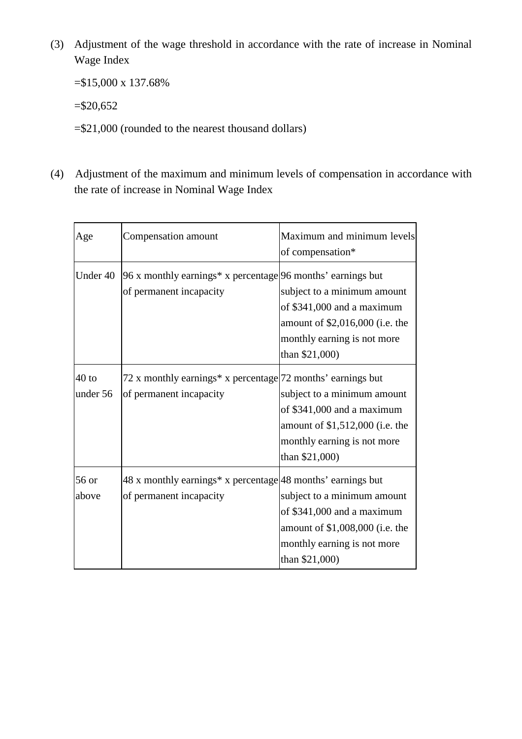(3) Adjustment of the wage threshold in accordance with the rate of increase in Nominal Wage Index

=\$15,000 x 137.68%

 $= $20,652$ 

=\$21,000 (rounded to the nearest thousand dollars)

(4) Adjustment of the maximum and minimum levels of compensation in accordance with the rate of increase in Nominal Wage Index

| Age                 | Compensation amount                                                                       | Maximum and minimum levels<br>of compensation*                                                                                                  |
|---------------------|-------------------------------------------------------------------------------------------|-------------------------------------------------------------------------------------------------------------------------------------------------|
| Under 40            | 96 x monthly earnings* x percentage $ 96$ months' earnings but<br>of permanent incapacity | subject to a minimum amount<br>of \$341,000 and a maximum<br>amount of \$2,016,000 (i.e. the<br>monthly earning is not more<br>than \$21,000)   |
| $40$ to<br>under 56 | 72 x monthly earnings* x percentage 72 months' earnings but<br>of permanent incapacity    | subject to a minimum amount<br>of \$341,000 and a maximum<br>amount of \$1,512,000 (i.e. the<br>monthly earning is not more<br>than \$21,000)   |
| 56 or<br>above      | 48 x monthly earnings* x percentage 48 months' earnings but<br>of permanent incapacity    | subject to a minimum amount<br>of \$341,000 and a maximum<br>amount of \$1,008,000 (i.e. the<br>monthly earning is not more<br>than $$21,000$ ) |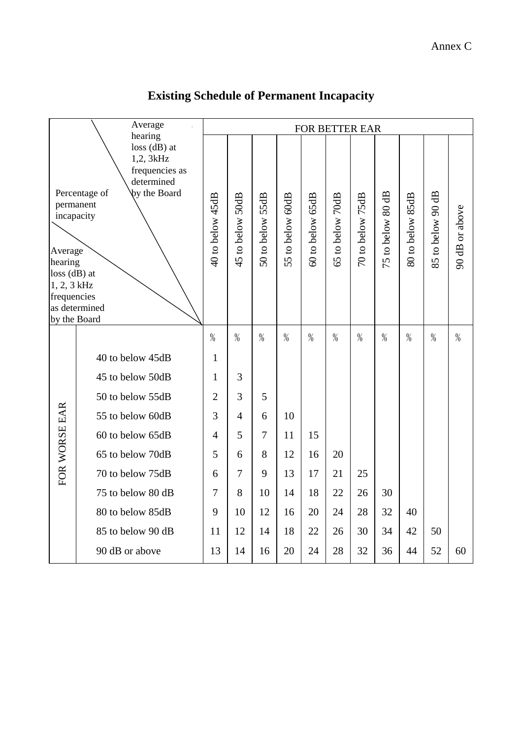|                                                                                                                                                                                                                                       | Average<br>hearing |                  |                  |                  |                  |                  |                  | FOR BETTER EAR   |                   |                  |                   |                |  |  |  |  |  |  |
|---------------------------------------------------------------------------------------------------------------------------------------------------------------------------------------------------------------------------------------|--------------------|------------------|------------------|------------------|------------------|------------------|------------------|------------------|-------------------|------------------|-------------------|----------------|--|--|--|--|--|--|
| $loss$ (dB) at<br>1,2, 3kHz<br>frequencies as<br>determined<br>Percentage of<br><b>by the Board</b><br>permanent<br>incapacity<br>Average<br>hearing<br>$loss$ (dB) at<br>1, 2, 3 kHz<br>frequencies<br>as determined<br>by the Board |                    | 40 to below 45dB | 45 to below 50dB | 50 to below 55dB | 55 to below 60dB | 60 to below 65dB | 65 to below 70dB | 70 to below 75dB | 75 to below 80 dB | 80 to below 85dB | 85 to below 90 dB | 90 dB or above |  |  |  |  |  |  |
|                                                                                                                                                                                                                                       |                    | $\frac{0}{0}$    | $\frac{0}{0}$    | $\frac{9}{6}$    | $\%$             | $\%$             | $\frac{9}{6}$    | $\%$             | $\%$              | %                | %                 | $\%$           |  |  |  |  |  |  |
|                                                                                                                                                                                                                                       | 40 to below 45dB   | $\mathbf{1}$     |                  |                  |                  |                  |                  |                  |                   |                  |                   |                |  |  |  |  |  |  |
|                                                                                                                                                                                                                                       | 45 to below 50dB   | 1                | 3                |                  |                  |                  |                  |                  |                   |                  |                   |                |  |  |  |  |  |  |
|                                                                                                                                                                                                                                       | 50 to below 55dB   | $\overline{2}$   | 3                | 5                |                  |                  |                  |                  |                   |                  |                   |                |  |  |  |  |  |  |
|                                                                                                                                                                                                                                       | 55 to below 60dB   | 3                | $\overline{4}$   | 6                | 10               |                  |                  |                  |                   |                  |                   |                |  |  |  |  |  |  |
|                                                                                                                                                                                                                                       | 60 to below 65dB   | $\overline{4}$   | 5                | $\overline{7}$   | 11               | 15               |                  |                  |                   |                  |                   |                |  |  |  |  |  |  |
|                                                                                                                                                                                                                                       | 65 to below 70dB   | 5                | 6                | 8                | 12               | 16               | 20               |                  |                   |                  |                   |                |  |  |  |  |  |  |
| FOR WORSE EAR                                                                                                                                                                                                                         | 70 to below 75dB   | 6                | $\overline{7}$   | 9                | 13               | 17               | 21               | 25               |                   |                  |                   |                |  |  |  |  |  |  |
|                                                                                                                                                                                                                                       | 75 to below 80 dB  | $\overline{7}$   | 8                | 10               | 14               | 18               | 22               | 26               | 30                |                  |                   |                |  |  |  |  |  |  |
|                                                                                                                                                                                                                                       | 80 to below 85dB   | 9                | 10               | 12               | 16               | 20               | 24               | 28               | 32                | 40               |                   |                |  |  |  |  |  |  |
|                                                                                                                                                                                                                                       | 85 to below 90 dB  | 11               | 12               | 14               | 18               | 22               | 26               | 30               | 34                | 42               | 50                |                |  |  |  |  |  |  |
|                                                                                                                                                                                                                                       | 90 dB or above     | 13               | 14               | 16               | 20               | 24               | 28               | 32               | 36                | 44               | 52                | 60             |  |  |  |  |  |  |

# **Existing Schedule of Permanent Incapacity**